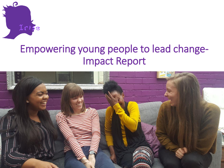

## Empowering young people to lead change-Impact Report

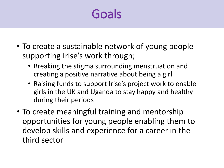## Goals

- To create a sustainable network of young people supporting Irise's work through;
	- Breaking the stigma surrounding menstruation and creating a positive narrative about being a girl
	- Raising funds to support Irise's project work to enable girls in the UK and Uganda to stay happy and healthy during their periods
- To create meaningful training and mentorship opportunities for young people enabling them to develop skills and experience for a career in the third sector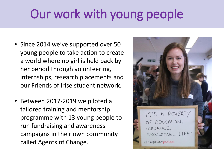# Our work with young people

- Since 2014 we've supported over 50 young people to take action to create a world where no girl is held back by her period through volunteering, internships, research placements and our Friends of Irise student network.
- Between 2017-2019 we piloted a tailored training and mentorship programme with 13 young people to run fundraising and awareness campaigns in their own community called Agents of Change.

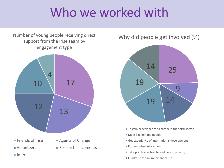## Who we worked with

Number of young people receiving direct support from the Irise team by engagement type



Why did people get involved (%)



- To gain experience for a career in the third sector
- Meet like minded people
- Get experience of international development
- **Put feminism into action**
- Take practical action to end period poverty
- **Fundraise for an important cause**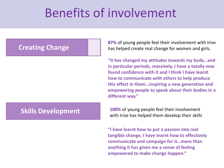## Benefits of involvement

### **Creating Change**

### **Skills Development**

**87%** of young people feel their involvement with Irise has helped create real change for women and girls.

**"It has changed my attitudes towards my body…and in particular periods, massively. I have a totally new found confidence with it and I think I have learnt how to communicate with others to help produce this effect in them…inspiring a new generation and empowering people to speak about their bodies in a different way."**

**100%** of young people feel their involvement with Irise has helped them develop their skills

**"I have learnt how to put a passion into real tangible change, I have learnt how to effectively communicate and campaign for it…more than anything it has given me a sense of feeling empowered to make change happen."**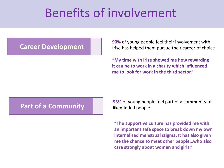## Benefits of involvement

### **Career Development**

**90%** of young people feel their involvement with Irise has helped them pursue their career of choice

**"My time with Irise showed me how rewarding it can be to work in a charity which influenced me to look for work in the third sector."**

### **Part of a Community**

**93%** of young people feel part of a community of likeminded people

**"The supportive culture has provided me with an important safe space to break down my own internalised menstrual stigma. It has also given me the chance to meet other people…who also care strongly about women and girls."**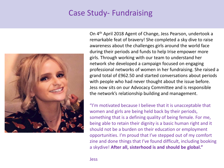### Case Study- Fundraising



On 4th April 2018 Agent of Change, Jess Pearson, undertook a remarkable feat of bravery! She completed a sky dive to raise awareness about the challenges girls around the world face during their periods and funds to help Irise empower more girls. Through working with our team to understand her network she developed a campaign focused on engaging professional networks of women in her fundraising. She raised a grand total of £962.50 and started conversations about periods with people who had never thought about the issue before. Jess now sits on our Advocacy Committee and is responsible the network's relationship building and management.

"I'm motivated because I believe that it is unacceptable that women and girls are being held back by their periods, something that is a defining quality of being female. For me, being able to retain their dignity is a basic human right and it should not be a burden on their education or employment opportunities. I'm proud that I've stepped out of my comfort zine and done things that I've found difficult, including booking a skydive! **After all, sisterhood is and should be global."**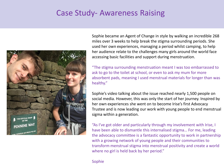### Case Study- Awareness Raising



Sophie became an Agent of Change in style by walking an incredible 268 miles over 3 weeks to help break the stigma surrounding periods. She used her own experiences, managing a period whilst camping, to help her audience relate to the challenges many girls around the world face accessing basic facilities and support during menstruation.

"The stigma surrounding menstruation meant I was too embarrassed to ask to go to the toilet at school, or even to ask my mum for more absorbent pads, meaning I used menstrual materials for longer than was healthy."

Sophie's video talking about the issue reached nearly 1,500 people on social media. However, this was only the start of her journey. Inspired by her own experiences she went on to become Irise's first Advocacy Trustee and is now leading our work with young people to end menstrual sigma within a generation.

"As I've got older and particularly through my involvement with Irise, I have been able to dismantle this internalised stigma… For me, leading the advocacy committee is a fantastic opportunity to work in partnership with a growing network of young people and their communities to transform menstrual stigma into menstrual positivity and create a world where no girl is held back by her period."

#### Sophie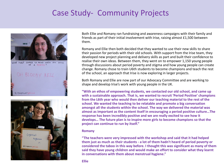### Case Study- Community Projects



Nightmare

# empower period

Both Ellie and Romany ran fundraising and awareness campaigns with their family and friends as part of their initial involvement with Irise, raising almost £1,500 between them.

Romany and Ellie then both decided that they wanted to use their new skills to share their passion for periods with their old schools. With support from the Irise team, they developed new project planning and delivery skills as part and built their confidence to realise their own ideas. Between them, they went on to empower 1,150 young people through discussions about period poverty and stigma and how young people can create change. Romany chose to train U6th students to become champions and teach the rest of the school, an approach that Irise is now exploring in larger projects.

Both Romany and Ellie are now part of our Advocacy Committee and are working to shape and develop Irise's work with young people in the UK.

**"With an ethos of empowering students, we contacted our old school, and came up with a sustainable approach. That is, we wanted to recruit 'Period Positive' champions from the L6th year who would then deliver our teaching material to the rest of the school. We wanted the teaching to be relatable and promote a big conversation amongst all the students within the school. The way we delivered the material was almost as important as the content itself in encouraging a period positive culture…The response has been incredibly positive and we are really excited to see how it develops… The future plan is to inspire more girls to become champions so that the project can continue to run by itself."**

#### **Romany**

**"The teachers were very impressed with the workshop and said that it had helped them just as much as their students - a lot of them hadn't heard of period poverty or considered the taboo in this way before. I thought this was significant as many of them said they have young children and would make an effort to consider what they learnt in conversations with them about menstrual hygiene."**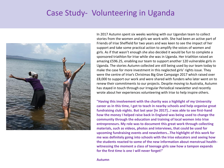### Case Study- Volunteering in Uganda



In 2017 Autumn spent six weeks working with our Ugandan team to collect stories from the women and girls we work with. She had been an active part of Friends of Irise Sheffield for two years and was keen to see the impact of her support and take some practical action to amplify the voices of women and girls. As if that wasn't enough she also decided it would be fun to complete a sponsored triathlon for Irise while she was in Uganda. Her triathlon raised an amazing £596.25, enabling our team to support another 120 vulnerable girls in Uganda. The stories Autumn collected are still being used by our team today to make the case for more investment in this neglected girls' rights issue. They were the centre of Irise's Christmas Big Give Campaign 2017 which raised over £8,000 to support our work and were shared with funders who later went on to renew their commitments to our projects. Despite moving to Australia, Autumn has stayed in touch through our Irregular Periodical newsletter and recently wrote about her experiences volunteering with Irise to help inspire others.

**"Having this involvement with the charity was a highlight of my University career as in this time, I got to teach in nearby schools and help organise great fundraising club nights. But last year [In 2017]…I was able to see first-hand how the money I helped raise back in England was being used to change the community through the education and training of local women into Irise entrepreneurs. My role was to document this great work through collecting materials, such as videos, photos and interviews, that could be used for upcoming fundraising events and newsletters…The highlight of this work for me was definitely going into schools with the Irise educators and seeing how the students reacted to some of the new information about menstrual healthwitnessing the moment a class of teenage girls saw how a tampon expands for the first time is one I will never forget!"**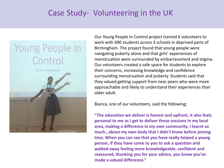### Case Study- Volunteering in the UK



Our Young People in Control project trained 6 volunteers to work with 690 students across 3 schools in deprived parts of Birmingham. The project found that young people were navigating puberty alone and that girls' experiences of menstruation were surrounded by embarrassment and stigma. Our volunteers created a safe space for students to explore their concerns, increasing knowledge and confidence surrounding menstruation and puberty. Students said that they valued getting support from near peers who were more approachable and likely to understand their experiences than older adult.

Bianca, one of our volunteers, said the following;

**"The education we deliver is honest and upfront, it also feels personal to me as I get to deliver these sessions in my local area, making a difference in my own community. I learnt so much…about my own body that I didn't know before joining Irise. When you can see that you have really helped a young person, if they have come to you to ask a question and walked away feeling more knowledgeable, confident and reassured, thanking you for your advice, you know you've made a valued difference."**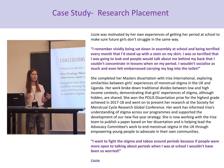### Case Study- Research Placement



Lizzie was motivated by her own experiences of getting her period at school to make sure future girls don't struggle in the same way.

**"I remember vividly being sat down in assembly at school and being terrified every month that I'd stand up with a stain on my skirt. I was so terrified that I was going to leak and people would talk about me behind my back that I couldn't concentrate in lessons when on my period. I wouldn't socialise as much and even felt embarrassed carrying my bag into the toilet!"**

She completed her Masters dissertation with Irise International, exploring similarities between girls' experiences of menstrual stigma in the UK and Uganda. Her work broke down traditional divides between low and high income contexts, demonstrating that girls' experiences of stigma, although hidden, are shared. She won the POLIS Dissertation prize for the highest grade achieved in 2017-18 and went on to present her research at the Society for Menstrual Cycle Research Global Conference. Her work has informed Irise's understanding of stigma across our programmes and supported the development of our new five year strategy. She is now working with the Irise team to publish a paper based on her dissertation and is helping lead the Advocacy Committee's work to end menstrual stigma in the UK through empowering young people to advocate in their own communities.

**"I want to fight the stigma and taboo around periods because if people were more open to talking about periods when I was at school I wouldn't have been so worried!"**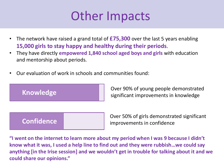## Other Impacts

- The network have raised a grand total of **£75,300** over the last 5 years enabling **15,000 girls to stay happy and healthy during their periods**.
- They have directly **empowered 1,840 school aged boys and girls** with education and mentorship about periods.
- Our evaluation of work in schools and communities found:



Over 90% of young people demonstrated significant improvements in knowledge

Over 50% of girls demonstrated significant improvements in confidence

**"I went on the internet to learn more about my period when I was 9 because I didn't know what it was, I used a help line to find out and they were rubbish…we could say anything [in the Irise session] and we wouldn't get in trouble for talking about it and we could share our opinions."**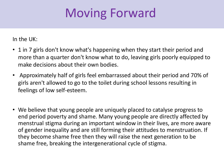# Moving Forward

In the UK:

- 1 in 7 girls don't know what's happening when they start their period and more than a quarter don't know what to do, leaving girls poorly equipped to make decisions about their own bodies.
- Approximately half of girls feel embarrassed about their period and 70% of girls aren't allowed to go to the toilet during school lessons resulting in feelings of low self-esteem.
- We believe that young people are uniquely placed to catalyse progress to end period poverty and shame. Many young people are directly affected by menstrual stigma during an important window in their lives, are more aware of gender inequality and are still forming their attitudes to menstruation. If they become shame free then they will raise the next generation to be shame free, breaking the intergenerational cycle of stigma.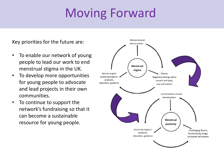# Moving Forward

Key priorities for the future are:

- To enable our network of young people to lead our work to end menstrual stigma in the UK.
- To develop more opportunities for young people to advocate and lead projects in their own communities.
- To continue to support the network's fundraising so that it can become a sustainable resource for young people.